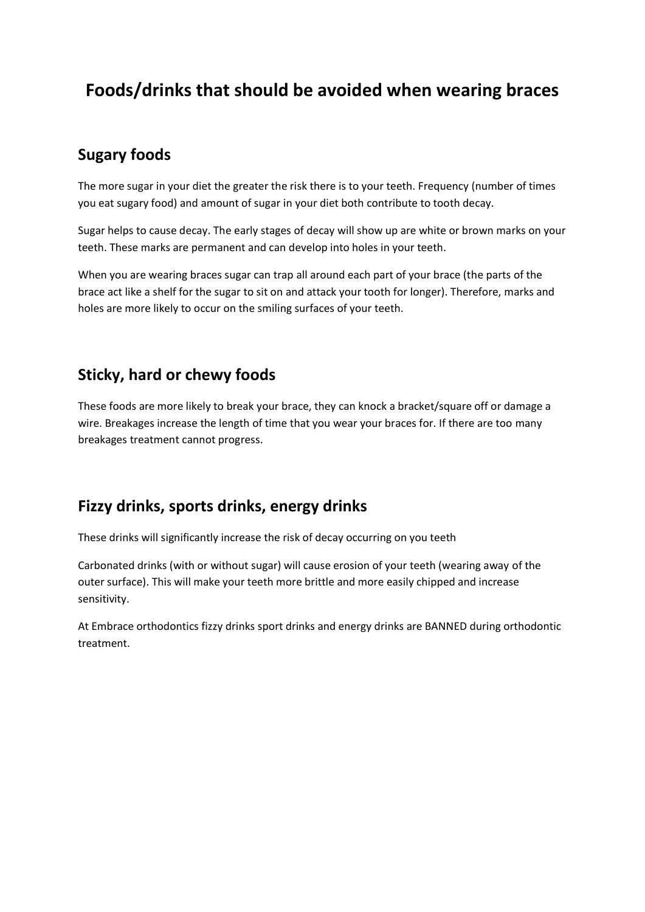# **Foods/drinks that should be avoided when wearing braces**

#### **Sugary foods**

The more sugar in your diet the greater the risk there is to your teeth. Frequency (number of times you eat sugary food) and amount of sugar in your diet both contribute to tooth decay.

Sugar helps to cause decay. The early stages of decay will show up are white or brown marks on your teeth. These marks are permanent and can develop into holes in your teeth.

When you are wearing braces sugar can trap all around each part of your brace (the parts of the brace act like a shelf for the sugar to sit on and attack your tooth for longer). Therefore, marks and holes are more likely to occur on the smiling surfaces of your teeth.

#### **Sticky, hard or chewy foods**

These foods are more likely to break your brace, they can knock a bracket/square off or damage a wire. Breakages increase the length of time that you wear your braces for. If there are too many breakages treatment cannot progress.

### **Fizzy drinks, sports drinks, energy drinks**

These drinks will significantly increase the risk of decay occurring on you teeth

Carbonated drinks (with or without sugar) will cause erosion of your teeth (wearing away of the outer surface). This will make your teeth more brittle and more easily chipped and increase sensitivity.

At Embrace orthodontics fizzy drinks sport drinks and energy drinks are BANNED during orthodontic treatment.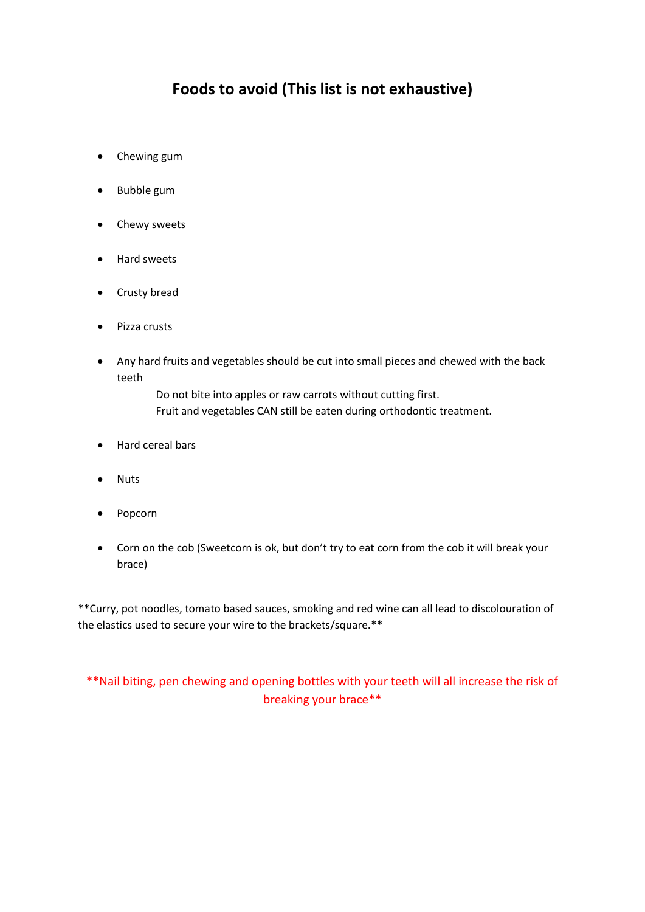### **Foods to avoid (This list is not exhaustive)**

- Chewing gum
- Bubble gum
- Chewy sweets
- Hard sweets
- Crusty bread
- Pizza crusts
- Any hard fruits and vegetables should be cut into small pieces and chewed with the back teeth

Do not bite into apples or raw carrots without cutting first. Fruit and vegetables CAN still be eaten during orthodontic treatment.

- Hard cereal bars
- Nuts
- Popcorn
- Corn on the cob (Sweetcorn is ok, but don't try to eat corn from the cob it will break your brace)

\*\*Curry, pot noodles, tomato based sauces, smoking and red wine can all lead to discolouration of the elastics used to secure your wire to the brackets/square.\*\*

\*\*Nail biting, pen chewing and opening bottles with your teeth will all increase the risk of breaking your brace\*\*